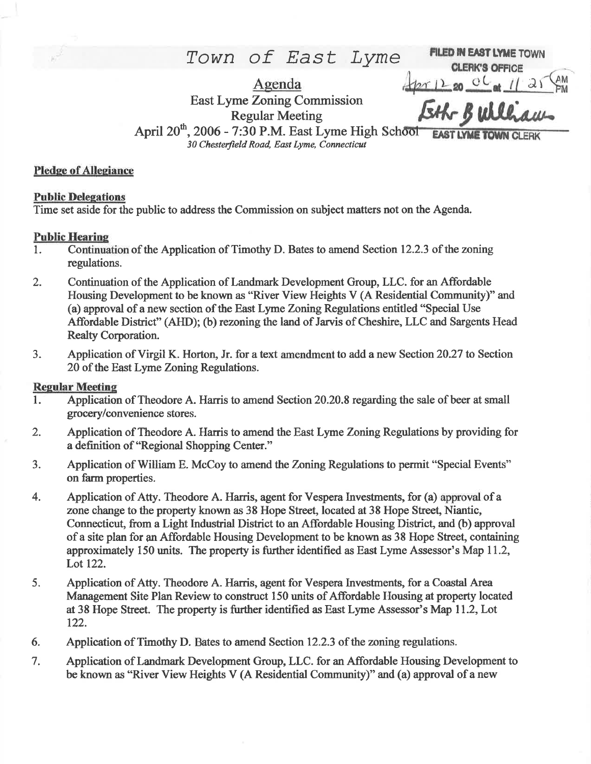$Town$  of East Lyme FILED IN EAST LYME TOWN

Agenda East Lyme Zoning Commission Regular Meeting April 20<sup>th</sup>, 2006 - 7:30 P.M. East Lyme High School 30 Chesterfield Road, East Lyme, Connecticut Eth Bulliam

**EAST LYME TOWN** 

at

### Pledge of Allegiance

#### **Public Delegations**

Time set aside for the public to address the Commission on subject matters not on the Agenda.

#### Public Hearine

- l. Continuation of the Application of Timothy D. Bates to amend Section 12.2.3 of the zoning regulations.
- 2. Continuation of the Application of Landmark Development Group, LLC. for an Affordable Housing Development to be known as "River View Heights V (A Residential Community)" and (a) approval of a new section of the East Lyme Zoning Regulations entitled "Special Use Affordable District" (AHD); (b) rezoning the land of Jarvis of Cheshire, LLC and Sargents Head Realty Corporation.
- 3. Application of Virgil K. Horton, Jr. for a text amendment to add a new Section 20.27 to Section 20 of the East Lyme Zoning Regulations.

### **Regular Meeting**

- 1. Application of Theodore A. Harris to amend Section 20.20.8 regarding the sale of beer at small grocery/convenience stores.
- 2. Application of Theodore A. Harris to amend the East Lyme Zoning Regulations by providing for a definition of "Regional Shopping Center."
- 3. Application of William E. McCoy to amend the Zoning Regulations to permit "Special Events" on farm properties.
- 4. Application of Atty. Theodore A. Harris, agent for Vespera Investments, for (a) approval of <sup>a</sup> zone change to the property known as 38 Hope Street, located at 38 Hope Street, Niantic, Connecticut, from a Light Industrial District to an Affordable Housing District, and (b) approval of a site plan for an Affordable Housing Development to be known as 38 Hope Street, containing approximately 150 units. The property is further identified as East Lyme Assessor's Map 11.2, Lot 122.
- 5. Application of Atty. Theodore A. Harris, agent for Vespera Investments, for a Coastal Area Management Site Plan Review to construct 150 units of Affordable Housing at property located at 38 Hope Street. The property is further identified as East Lyme Assessor's Map 11.2, Lot 122.
- 6. Application of Timothy D. Bates to amend Section 12.2.3 of the zoning regulations.
- 7. Application of Landmark Development Group, LLC. for an Affordable Housing Development to be known as "River View Heights V (A Residential Community)" and (a) approval of a new